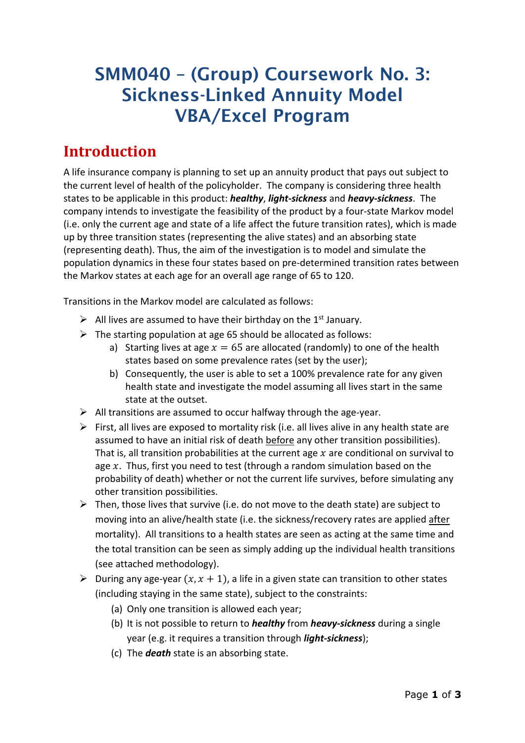# SMM040 – (Group) Coursework No. 3: Sickness-Linked Annuity Model VBA/Excel Program

## **Introduction**

A life insurance company is planning to set up an annuity product that pays out subject to the current level of health of the policyholder. The company is considering three health states to be applicable in this product: *healthy*, *light***-***sickness* and *heavy***-***sickness*. The company intends to investigate the feasibility of the product by a four-state Markov model (i.e. only the current age and state of a life affect the future transition rates), which is made up by three transition states (representing the alive states) and an absorbing state (representing death). Thus, the aim of the investigation is to model and simulate the population dynamics in these four states based on pre-determined transition rates between the Markov states at each age for an overall age range of 65 to 120.

Transitions in the Markov model are calculated as follows:

- $\triangleright$  All lives are assumed to have their birthday on the 1<sup>st</sup> January.
- $\triangleright$  The starting population at age 65 should be allocated as follows:
	- a) Starting lives at age  $x = 65$  are allocated (randomly) to one of the health states based on some prevalence rates (set by the user);
	- b) Consequently, the user is able to set a 100% prevalence rate for any given health state and investigate the model assuming all lives start in the same state at the outset.
- $\triangleright$  All transitions are assumed to occur halfway through the age-year.
- $\triangleright$  First, all lives are exposed to mortality risk (i.e. all lives alive in any health state are assumed to have an initial risk of death before any other transition possibilities). That is, all transition probabilities at the current age  $x$  are conditional on survival to age  $x$ . Thus, first you need to test (through a random simulation based on the probability of death) whether or not the current life survives, before simulating any other transition possibilities.
- $\triangleright$  Then, those lives that survive (i.e. do not move to the death state) are subject to moving into an alive/health state (i.e. the sickness/recovery rates are applied after mortality). All transitions to a health states are seen as acting at the same time and the total transition can be seen as simply adding up the individual health transitions (see attached methodology).
- $\triangleright$  During any age-year  $(x, x + 1)$ , a life in a given state can transition to other states (including staying in the same state), subject to the constraints:
	- (a) Only one transition is allowed each year;
	- (b) It is not possible to return to *healthy* from *heavy-sickness* during a single year (e.g. it requires a transition through *light-sickness*);
	- (c) The *death* state is an absorbing state.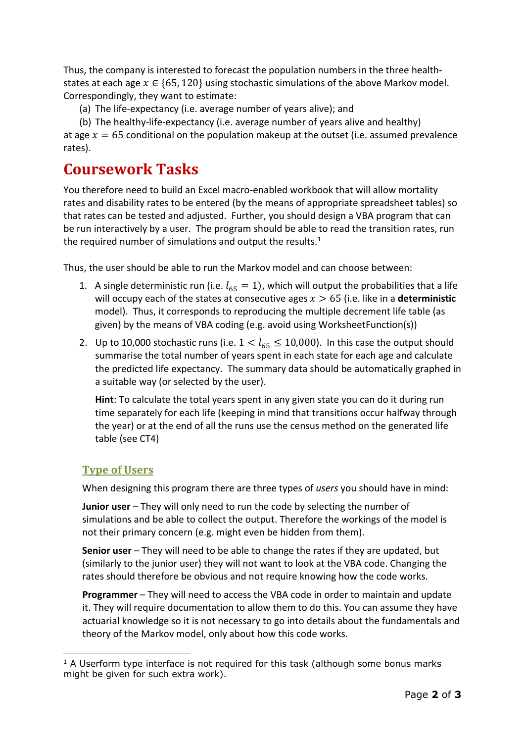Thus, the company is interested to forecast the population numbers in the three healthstates at each age  $x \in \{65, 120\}$  using stochastic simulations of the above Markov model. Correspondingly, they want to estimate:

(a) The life-expectancy (i.e. average number of years alive); and

(b) The healthy-life-expectancy (i.e. average number of years alive and healthy) at age  $x = 65$  conditional on the population makeup at the outset (i.e. assumed prevalence rates).

## **Coursework Tasks**

You therefore need to build an Excel macro-enabled workbook that will allow mortality rates and disability rates to be entered (by the means of appropriate spreadsheet tables) so that rates can be tested and adjusted. Further, you should design a VBA program that can be run interactively by a user. The program should be able to read the transition rates, run the required number of simulations and output the results. $1$ 

Thus, the user should be able to run the Markov model and can choose between:

- 1. A single deterministic run (i.e.  $l_{65} = 1$ ), which will output the probabilities that a life will occupy each of the states at consecutive ages  $x > 65$  (i.e. like in a **deterministic** model). Thus, it corresponds to reproducing the multiple decrement life table (as given) by the means of VBA coding (e.g. avoid using WorksheetFunction(s))
- 2. Up to 10,000 stochastic runs (i.e.  $1 < l_{65} \le 10,000$ ). In this case the output should summarise the total number of years spent in each state for each age and calculate the predicted life expectancy. The summary data should be automatically graphed in a suitable way (or selected by the user).

**Hint**: To calculate the total years spent in any given state you can do it during run time separately for each life (keeping in mind that transitions occur halfway through the year) or at the end of all the runs use the census method on the generated life table (see CT4)

#### **Type of Users**

-

When designing this program there are three types of *users* you should have in mind:

**Junior user** – They will only need to run the code by selecting the number of simulations and be able to collect the output. Therefore the workings of the model is not their primary concern (e.g. might even be hidden from them).

**Senior user** – They will need to be able to change the rates if they are updated, but (similarly to the junior user) they will not want to look at the VBA code. Changing the rates should therefore be obvious and not require knowing how the code works.

**Programmer** – They will need to access the VBA code in order to maintain and update it. They will require documentation to allow them to do this. You can assume they have actuarial knowledge so it is not necessary to go into details about the fundamentals and theory of the Markov model, only about how this code works.

 $<sup>1</sup>$  A Userform type interface is not required for this task (although some bonus marks</sup> might be given for such extra work).